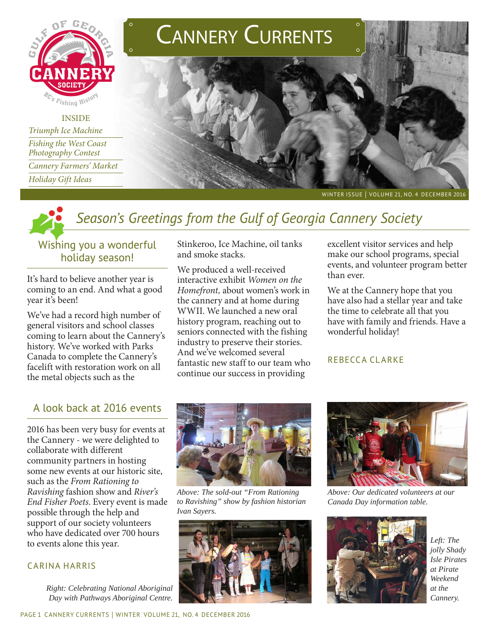

INSIDE *Triumph Ice Machine Fishing the West Coast Photography Contest Cannery Farmers' Market Holiday Gift Ideas*





# *Season's Greetings from the Gulf of Georgia Cannery Society*

# Wishing you a wonderful holiday season!

It's hard to believe another year is coming to an end. And what a good year it's been!

We've had a record high number of general visitors and school classes coming to learn about the Cannery's history. We've worked with Parks Canada to complete the Cannery's facelift with restoration work on all the metal objects such as the

Stinkeroo, Ice Machine, oil tanks and smoke stacks.

We produced a well-received interactive exhibit *Women on the Homefront,* about women's work in the cannery and at home during WWII. We launched a new oral history program, reaching out to seniors connected with the fishing industry to preserve their stories. And we've welcomed several fantastic new staff to our team who continue our success in providing

excellent visitor services and help make our school programs, special events, and volunteer program better than ever.

We at the Cannery hope that you have also had a stellar year and take the time to celebrate all that you have with family and friends. Have a wonderful holiday!

### REBECCA CLARKE

# A look back at 2016 events

2016 has been very busy for events at the Cannery - we were delighted to collaborate with different community partners in hosting some new events at our historic site, such as the *From Rationing to Ravishing* fashion show and *River's End Fisher Poets*. Every event is made possible through the help and support of our society volunteers who have dedicated over 700 hours to events alone this year.

### CARINA HARRIS

*Right: Celebrating National Aboriginal Day with Pathways Aboriginal Centre.* 



*Above: The sold-out "From Rationing to Ravishing" show by fashion historian Ivan Sayers.*





*Above: Our dedicated volunteers at our Canada Day information table.* 



*Left: The jolly Shady Isle Pirates at Pirate Weekend at the Cannery.*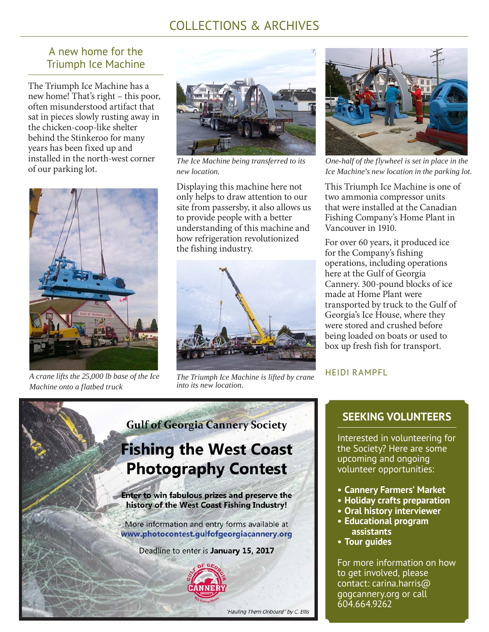# COLLECTIONS & ARCHIVES

# A new home for the Triumph Ice Machine

The Triumph Ice Machine has a new home! That's right – this poor, often misunderstood artifact that sat in pieces slowly rusting away in the chicken-coop-like shelter behind the Stinkeroo for many years has been fixed up and installed in the north-west corner of our parking lot.



*A crane lifts the 25,000 lb base of the Ice Machine onto a flatbed truck* 



*The Ice Machine being transferred to its new location.* 

Displaying this machine here not only helps to draw attention to our site from passersby, it also allows us to provide people with a better understanding of this machine and how refrigeration revolutionized the fishing industry.



HEIDI RAMPFL *The Triumph Ice Machine is lifted by crane into its new location.* 



*One-half of the flywheel is set in place in the Ice Machine's new location in the parking lot.* 

This Triumph Ice Machine is one of two ammonia compressor units that were installed at the Canadian Fishing Company's Home Plant in Vancouver in 1910.

For over 60 years, it produced ice for the Company's fishing operations, including operations here at the Gulf of Georgia Cannery. 300-pound blocks of ice made at Home Plant were transported by truck to the Gulf of Georgia's Ice House, where they were stored and crushed before being loaded on boats or used to box up fresh fish for transport.



# **SEEKING VOLUNTEERS**

Interested in volunteering for the Society? Here are some upcoming and ongoing volunteer opportunities:

- **• Cannery Farmers' Market**
- **• Holiday crafts preparation**
- **• Oral history interviewer**
- **• Educational program assistants**
- **• Tour guides**

For more information on how to get involved, please contact: carina.harris@ gogcannery.org or call 604.664.9262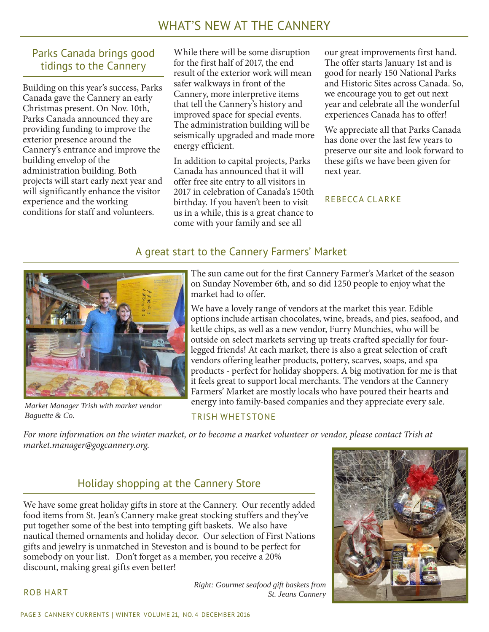# WHAT'S NEW AT THE CANNERY

# Parks Canada brings good tidings to the Cannery

Building on this year's success, Parks Canada gave the Cannery an early Christmas present. On Nov. 10th, Parks Canada announced they are providing funding to improve the exterior presence around the Cannery's entrance and improve the building envelop of the administration building. Both projects will start early next year and will significantly enhance the visitor experience and the working conditions for staff and volunteers.

While there will be some disruption for the first half of 2017, the end result of the exterior work will mean safer walkways in front of the Cannery, more interpretive items that tell the Cannery's history and improved space for special events. The administration building will be seismically upgraded and made more energy efficient.

In addition to capital projects, Parks Canada has announced that it will offer free site entry to all visitors in 2017 in celebration of Canada's 150th birthday. If you haven't been to visit us in a while, this is a great chance to come with your family and see all

our great improvements first hand. The offer starts January 1st and is good for nearly 150 National Parks and Historic Sites across Canada. So, we encourage you to get out next year and celebrate all the wonderful experiences Canada has to offer!

We appreciate all that Parks Canada has done over the last few years to preserve our site and look forward to these gifts we have been given for next year.

REBECCA CLARKE

# A great start to the Cannery Farmers' Market



*Market Manager Trish with market vendor Baguette & Co.*

The sun came out for the first Cannery Farmer's Market of the season on Sunday November 6th, and so did 1250 people to enjoy what the market had to offer.

We have a lovely range of vendors at the market this year. Edible options include artisan chocolates, wine, breads, and pies, seafood, and kettle chips, as well as a new vendor, Furry Munchies, who will be outside on select markets serving up treats crafted specially for fourlegged friends! At each market, there is also a great selection of craft vendors offering leather products, pottery, scarves, soaps, and spa products - perfect for holiday shoppers. A big motivation for me is that it feels great to support local merchants. The vendors at the Cannery Farmers' Market are mostly locals who have poured their hearts and energy into family-based companies and they appreciate every sale.

TRISH WHETSTONE

For more information on the winter market, or to become a market volunteer or vendor, please contact Trish at *market.manager@gogcannery.org.* 

# Holiday shopping at the Cannery Store

We have some great holiday gifts in store at the Cannery. Our recently added food items from St. Jean's Cannery make great stocking stuffers and they've put together some of the best into tempting gift baskets. We also have nautical themed ornaments and holiday decor. Our selection of First Nations gifts and jewelry is unmatched in Steveston and is bound to be perfect for somebody on your list. Don't forget as a member, you receive a 20% discount, making great gifts even better!

### ROB HART

*Right: Gourmet seafood gift baskets from St. Jeans Cannery*